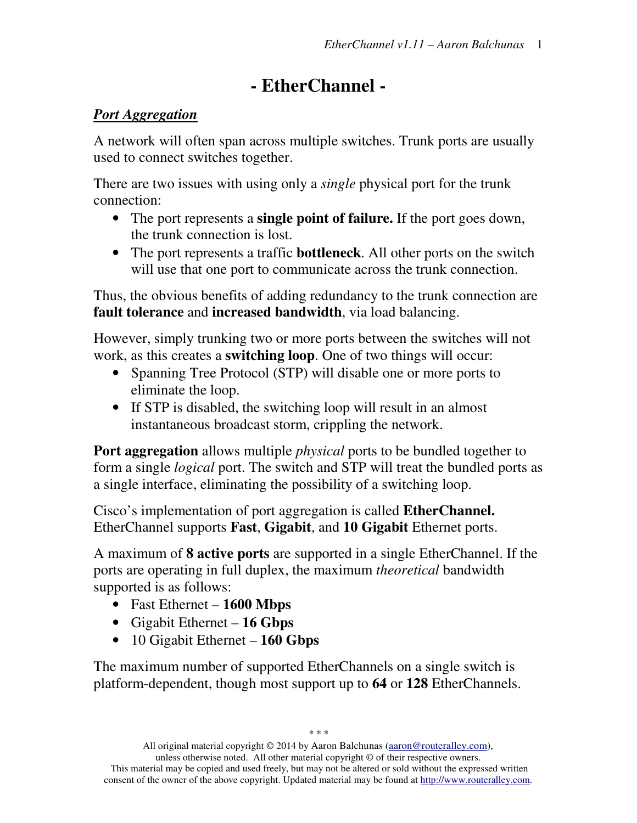# **- EtherChannel -**

#### *Port Aggregation*

A network will often span across multiple switches. Trunk ports are usually used to connect switches together.

There are two issues with using only a *single* physical port for the trunk connection:

- The port represents a **single point of failure.** If the port goes down, the trunk connection is lost.
- The port represents a traffic **bottleneck**. All other ports on the switch will use that one port to communicate across the trunk connection.

Thus, the obvious benefits of adding redundancy to the trunk connection are **fault tolerance** and **increased bandwidth**, via load balancing.

However, simply trunking two or more ports between the switches will not work, as this creates a **switching loop**. One of two things will occur:

- Spanning Tree Protocol (STP) will disable one or more ports to eliminate the loop.
- If STP is disabled, the switching loop will result in an almost instantaneous broadcast storm, crippling the network.

**Port aggregation** allows multiple *physical* ports to be bundled together to form a single *logical* port. The switch and STP will treat the bundled ports as a single interface, eliminating the possibility of a switching loop.

Cisco's implementation of port aggregation is called **EtherChannel.** EtherChannel supports **Fast**, **Gigabit**, and **10 Gigabit** Ethernet ports.

A maximum of **8 active ports** are supported in a single EtherChannel. If the ports are operating in full duplex, the maximum *theoretical* bandwidth supported is as follows:

- Fast Ethernet **1600 Mbps**
- Gigabit Ethernet **16 Gbps**
- 10 Gigabit Ethernet **160 Gbps**

The maximum number of supported EtherChannels on a single switch is platform-dependent, though most support up to **64** or **128** EtherChannels.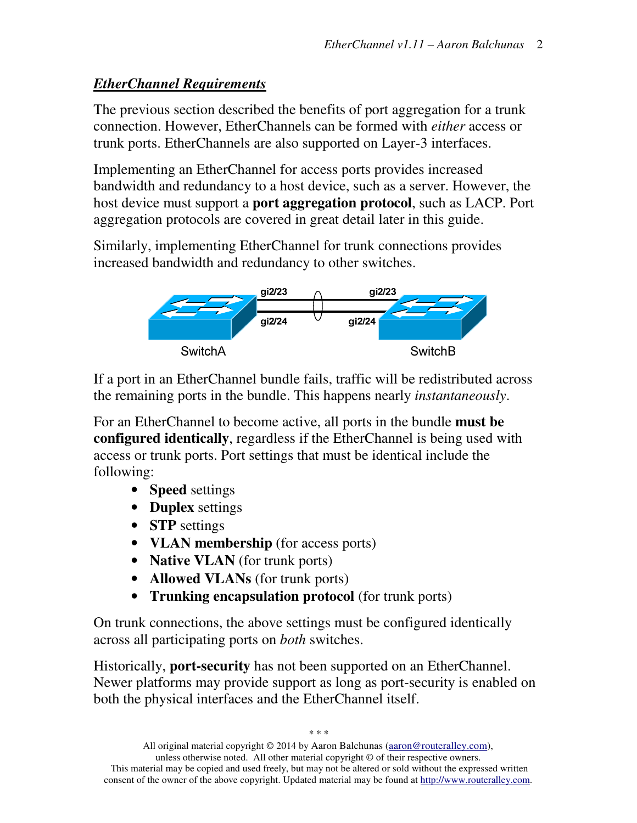#### *EtherChannel Requirements*

The previous section described the benefits of port aggregation for a trunk connection. However, EtherChannels can be formed with *either* access or trunk ports. EtherChannels are also supported on Layer-3 interfaces.

Implementing an EtherChannel for access ports provides increased bandwidth and redundancy to a host device, such as a server. However, the host device must support a **port aggregation protocol**, such as LACP. Port aggregation protocols are covered in great detail later in this guide.

Similarly, implementing EtherChannel for trunk connections provides increased bandwidth and redundancy to other switches.



If a port in an EtherChannel bundle fails, traffic will be redistributed across the remaining ports in the bundle. This happens nearly *instantaneously*.

For an EtherChannel to become active, all ports in the bundle **must be configured identically**, regardless if the EtherChannel is being used with access or trunk ports. Port settings that must be identical include the following:

- **Speed** settings
- **Duplex** settings
- **STP** settings
- **VLAN membership** (for access ports)
- **Native VLAN** (for trunk ports)
- **Allowed VLANs** (for trunk ports)
- **Trunking encapsulation protocol** (for trunk ports)

On trunk connections, the above settings must be configured identically across all participating ports on *both* switches.

Historically, **port-security** has not been supported on an EtherChannel. Newer platforms may provide support as long as port-security is enabled on both the physical interfaces and the EtherChannel itself.

*\* \* \**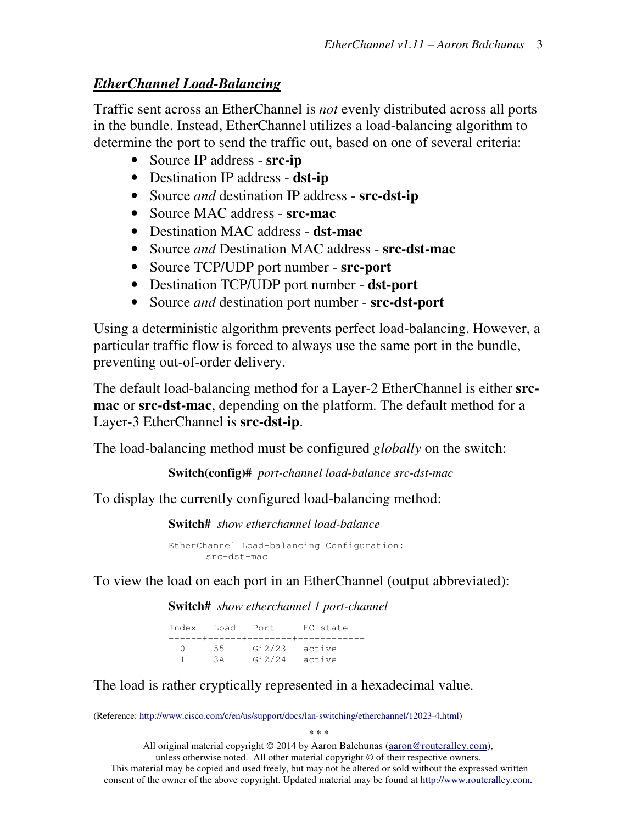#### *EtherChannel Load-Balancing*

Traffic sent across an EtherChannel is *not* evenly distributed across all ports in the bundle. Instead, EtherChannel utilizes a load-balancing algorithm to determine the port to send the traffic out, based on one of several criteria:

- Source IP address **src-ip**
- Destination IP address **dst-ip**
- Source *and* destination IP address **src-dst-ip**
- Source MAC address **src-mac**
- Destination MAC address **dst-mac**
- Source *and* Destination MAC address **src-dst-mac**
- Source TCP/UDP port number **src-port**
- Destination TCP/UDP port number **dst-port**
- Source *and* destination port number **src-dst-port**

Using a deterministic algorithm prevents perfect load-balancing. However, a particular traffic flow is forced to always use the same port in the bundle, preventing out-of-order delivery.

The default load-balancing method for a Layer-2 EtherChannel is either **srcmac** or **src-dst-mac**, depending on the platform. The default method for a Layer-3 EtherChannel is **src-dst-ip**.

The load-balancing method must be configured *globally* on the switch:

**Switch(config)#** *port-channel load-balance src-dst-mac* 

To display the currently configured load-balancing method:

**Switch#** *show etherchannel load-balance* 

EtherChannel Load-balancing Configuration: src-dst-mac

To view the load on each port in an EtherChannel (output abbreviated):

**Switch#** *show etherchannel 1 port-channel* 

|     |    | Index Load Port EC state      |  |
|-----|----|-------------------------------|--|
|     |    | -------+------+--------+----- |  |
| (1) |    | 55 Gi2/23 active              |  |
|     | 3A | Gi2/24 active                 |  |

The load is rather cryptically represented in a hexadecimal value.

(Reference: http://www.cisco.com/c/en/us/support/docs/lan-switching/etherchannel/12023-4.html)

*\* \* \**  All original material copyright © 2014 by Aaron Balchunas (aaron@routeralley.com), unless otherwise noted. All other material copyright © of their respective owners. This material may be copied and used freely, but may not be altered or sold without the expressed written

consent of the owner of the above copyright. Updated material may be found at http://www.routeralley.com.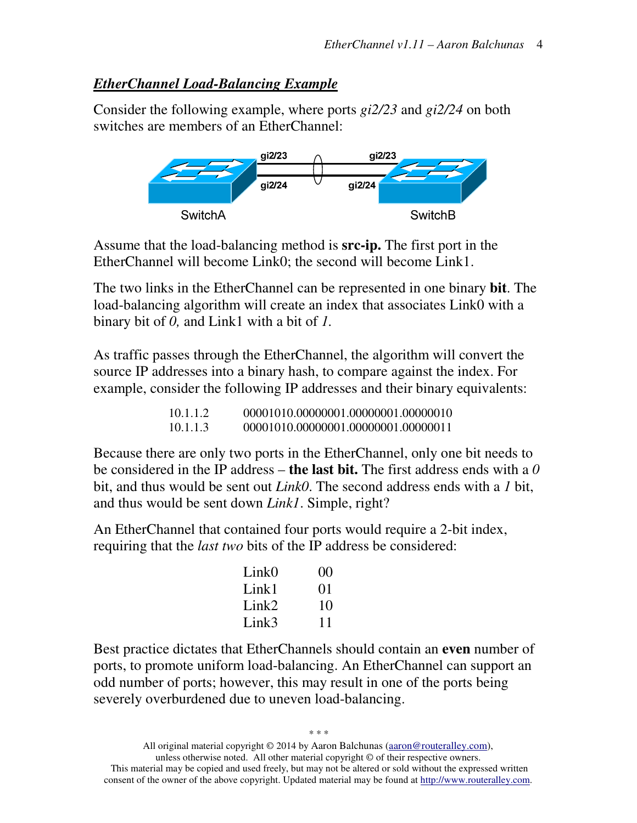#### *EtherChannel Load-Balancing Example*

Consider the following example, where ports *gi2/23* and *gi2/24* on both switches are members of an EtherChannel:



Assume that the load-balancing method is **src-ip.** The first port in the EtherChannel will become Link0; the second will become Link1.

The two links in the EtherChannel can be represented in one binary **bit**. The load-balancing algorithm will create an index that associates Link0 with a binary bit of *0,* and Link1 with a bit of *1.* 

As traffic passes through the EtherChannel, the algorithm will convert the source IP addresses into a binary hash, to compare against the index. For example, consider the following IP addresses and their binary equivalents:

| 10.1.1.2 | 00001010.00000001.00000001.00000010 |
|----------|-------------------------------------|
| 10.1.1.3 | 00001010.00000001.00000001.00000011 |

Because there are only two ports in the EtherChannel, only one bit needs to be considered in the IP address – **the last bit.** The first address ends with a *0* bit, and thus would be sent out *Link0*. The second address ends with a *1* bit, and thus would be sent down *Link1*. Simple, right?

An EtherChannel that contained four ports would require a 2-bit index, requiring that the *last two* bits of the IP address be considered:

| Link <sub>0</sub> | 0 <sup>0</sup> |
|-------------------|----------------|
| Link1             | $\Omega$ 1     |
| Link $\Omega$     | 10             |
| Link3             | 11             |

Best practice dictates that EtherChannels should contain an **even** number of ports, to promote uniform load-balancing. An EtherChannel can support an odd number of ports; however, this may result in one of the ports being severely overburdened due to uneven load-balancing.

*\* \* \**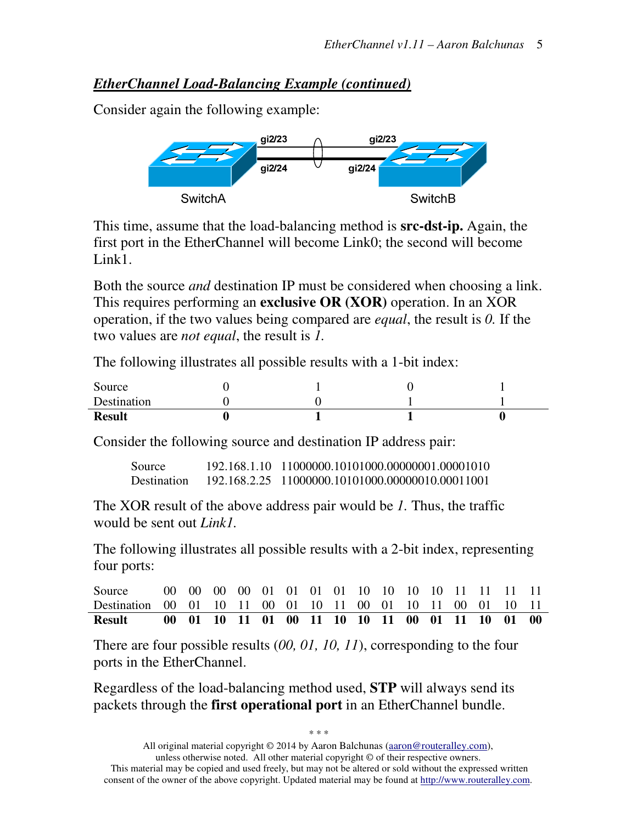#### *EtherChannel Load-Balancing Example (continued)*

Consider again the following example:



This time, assume that the load-balancing method is **src-dst-ip.** Again, the first port in the EtherChannel will become Link0; the second will become Link<sub>1</sub>.

Both the source *and* destination IP must be considered when choosing a link. This requires performing an **exclusive OR (XOR)** operation. In an XOR operation, if the two values being compared are *equal*, the result is *0.* If the two values are *not equal*, the result is *1.* 

The following illustrates all possible results with a 1-bit index:

| Source        |  |  |
|---------------|--|--|
| Destination   |  |  |
| <b>Result</b> |  |  |

Consider the following source and destination IP address pair:

Source 192.168.1.10 11000000.10101000.00000001.00001010 Destination 192.168.2.25 11000000.10101000.00000010.00011001

The XOR result of the above address pair would be *1.* Thus, the traffic would be sent out *Link1.*

The following illustrates all possible results with a 2-bit index, representing four ports:

| Source                                                      |  |  |  |  |  |  |  |  |
|-------------------------------------------------------------|--|--|--|--|--|--|--|--|
| Destination 00 01 10 11 00 01 10 11 00 01 10 11 00 01 10 11 |  |  |  |  |  |  |  |  |
| <b>Result</b>                                               |  |  |  |  |  |  |  |  |

There are four possible results (*00, 01, 10, 11*), corresponding to the four ports in the EtherChannel.

Regardless of the load-balancing method used, **STP** will always send its packets through the **first operational port** in an EtherChannel bundle.

*\* \* \**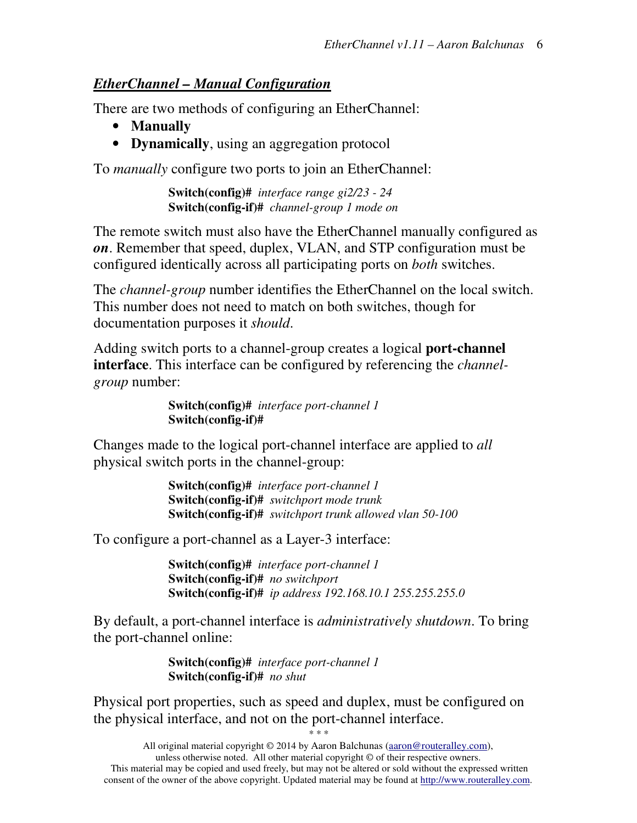#### *EtherChannel – Manual Configuration*

There are two methods of configuring an EtherChannel:

- **Manually**
- **Dynamically**, using an aggregation protocol

To *manually* configure two ports to join an EtherChannel:

**Switch(config)#** *interface range gi2/23 - 24* **Switch(config-if)#** *channel-group 1 mode on* 

The remote switch must also have the EtherChannel manually configured as *on*. Remember that speed, duplex, VLAN, and STP configuration must be configured identically across all participating ports on *both* switches.

The *channel-group* number identifies the EtherChannel on the local switch. This number does not need to match on both switches, though for documentation purposes it *should*.

Adding switch ports to a channel-group creates a logical **port-channel interface**. This interface can be configured by referencing the *channelgroup* number:

> **Switch(config)#** *interface port-channel 1* **Switch(config-if)#**

Changes made to the logical port-channel interface are applied to *all* physical switch ports in the channel-group:

> **Switch(config)#** *interface port-channel 1* **Switch(config-if)#** *switchport mode trunk* **Switch(config-if)#** *switchport trunk allowed vlan 50-100*

To configure a port-channel as a Layer-3 interface:

**Switch(config)#** *interface port-channel 1* **Switch(config-if)#** *no switchport* **Switch(config-if)#** *ip address 192.168.10.1 255.255.255.0* 

By default, a port-channel interface is *administratively shutdown*. To bring the port-channel online:

> **Switch(config)#** *interface port-channel 1* **Switch(config-if)#** *no shut*

Physical port properties, such as speed and duplex, must be configured on the physical interface, and not on the port-channel interface.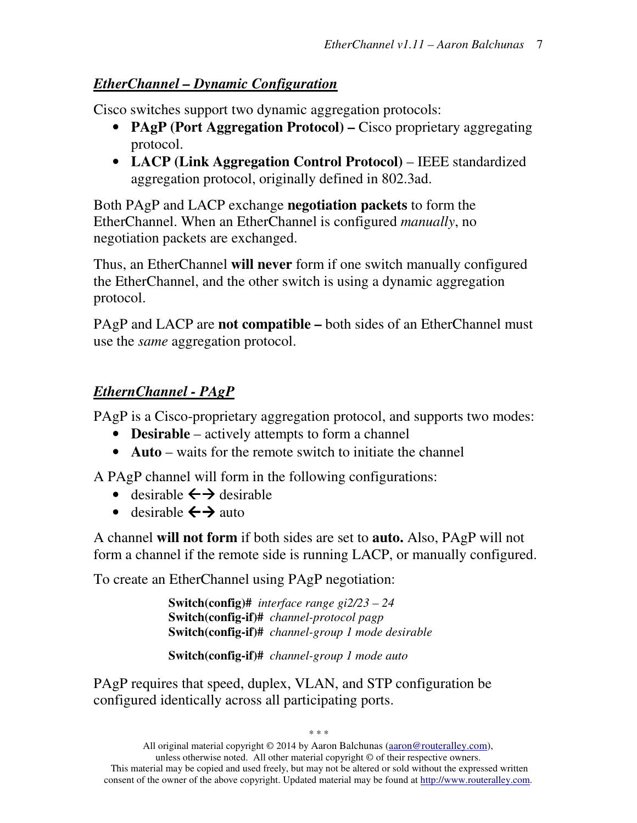#### *EtherChannel – Dynamic Configuration*

Cisco switches support two dynamic aggregation protocols:

- **PAgP (Port Aggregation Protocol)** Cisco proprietary aggregating protocol.
- **LACP (Link Aggregation Control Protocol)** IEEE standardized aggregation protocol, originally defined in 802.3ad.

Both PAgP and LACP exchange **negotiation packets** to form the EtherChannel. When an EtherChannel is configured *manually*, no negotiation packets are exchanged.

Thus, an EtherChannel **will never** form if one switch manually configured the EtherChannel, and the other switch is using a dynamic aggregation protocol.

PAgP and LACP are **not compatible –** both sides of an EtherChannel must use the *same* aggregation protocol.

## *EthernChannel - PAgP*

PAgP is a Cisco-proprietary aggregation protocol, and supports two modes:

- **Desirable** actively attempts to form a channel
- **Auto** waits for the remote switch to initiate the channel

A PAgP channel will form in the following configurations:

- desirable  $\leftrightarrow$  desirable
- desirable  $\leftrightarrow$  auto

A channel **will not form** if both sides are set to **auto.** Also, PAgP will not form a channel if the remote side is running LACP, or manually configured.

To create an EtherChannel using PAgP negotiation:

**Switch(config)#** *interface range gi2/23 – 24*  **Switch(config-if)#** *channel-protocol pagp* **Switch(config-if)#** *channel-group 1 mode desirable* 

**Switch(config-if)#** *channel-group 1 mode auto* 

PAgP requires that speed, duplex, VLAN, and STP configuration be configured identically across all participating ports.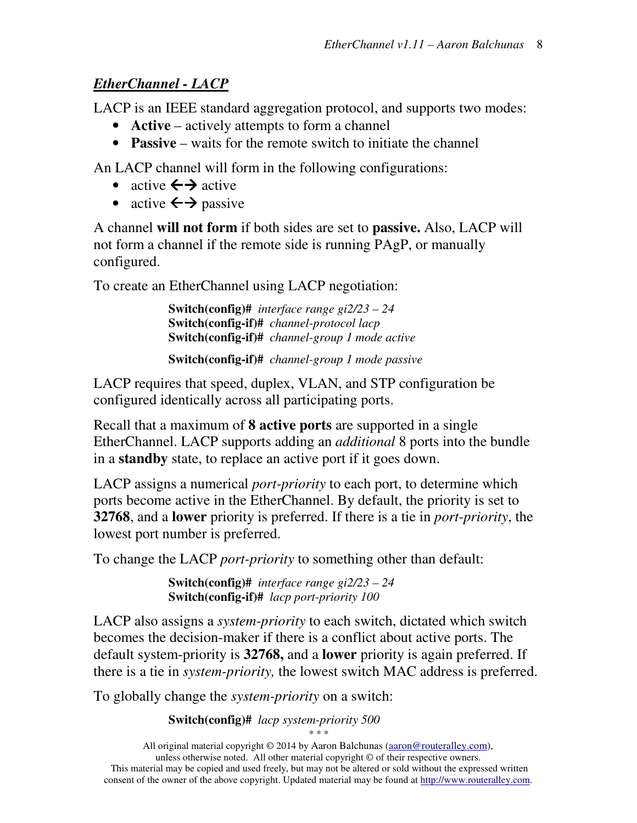## *EtherChannel - LACP*

LACP is an IEEE standard aggregation protocol, and supports two modes:

- **Active** actively attempts to form a channel
- **Passive** waits for the remote switch to initiate the channel

An LACP channel will form in the following configurations:

- active  $\leftrightarrow$  active
- active  $\leftrightarrow$  passive

A channel **will not form** if both sides are set to **passive.** Also, LACP will not form a channel if the remote side is running PAgP, or manually configured.

To create an EtherChannel using LACP negotiation:

**Switch(config)#** *interface range gi2/23 – 24* **Switch(config-if)#** *channel-protocol lacp* **Switch(config-if)#** *channel-group 1 mode active* 

**Switch(config-if)#** *channel-group 1 mode passive* 

LACP requires that speed, duplex, VLAN, and STP configuration be configured identically across all participating ports.

Recall that a maximum of **8 active ports** are supported in a single EtherChannel. LACP supports adding an *additional* 8 ports into the bundle in a **standby** state, to replace an active port if it goes down.

LACP assigns a numerical *port-priority* to each port, to determine which ports become active in the EtherChannel. By default, the priority is set to **32768**, and a **lower** priority is preferred. If there is a tie in *port-priority*, the lowest port number is preferred.

To change the LACP *port-priority* to something other than default:

**Switch(config)#** *interface range gi2/23 – 24*  **Switch(config-if)#** *lacp port-priority 100* 

LACP also assigns a *system-priority* to each switch, dictated which switch becomes the decision-maker if there is a conflict about active ports. The default system-priority is **32768,** and a **lower** priority is again preferred. If there is a tie in *system-priority,* the lowest switch MAC address is preferred.

To globally change the *system-priority* on a switch:

**Switch(config)#** *lacp system-priority 500*